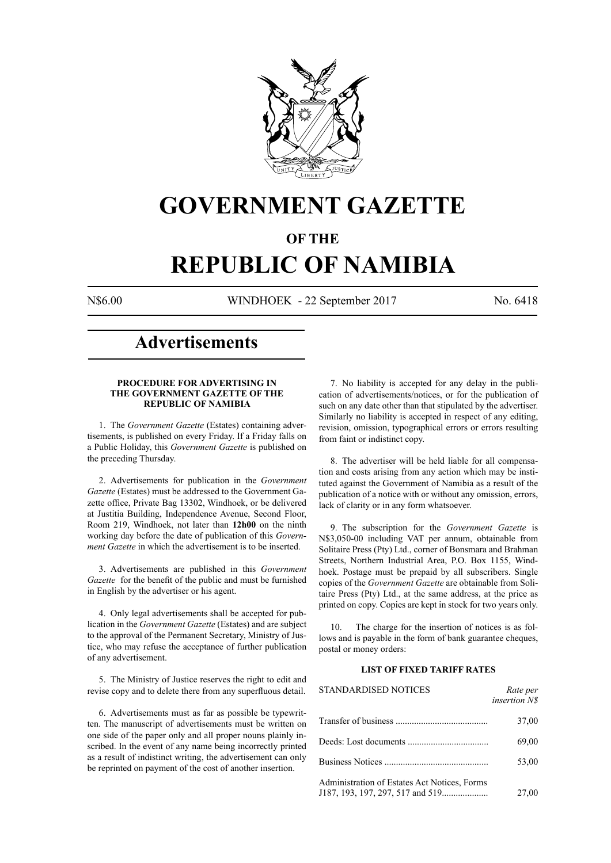

# **GOVERNMENT GAZETTE**

# **OF THE**

# **REPUBLIC OF NAMIBIA**

N\$6.00 WINDHOEK - 22 September 2017 No. 6418

# **Advertisements**

# **PROCEDURE FOR ADVERTISING IN THE GOVERNMENT GAZETTE OF THE REPUBLIC OF NAMIBIA**

1. The *Government Gazette* (Estates) containing advertisements, is published on every Friday. If a Friday falls on a Public Holiday, this *Government Gazette* is published on the preceding Thursday.

2. Advertisements for publication in the *Government Gazette* (Estates) must be addressed to the Government Gazette office, Private Bag 13302, Windhoek, or be delivered at Justitia Building, Independence Avenue, Second Floor, Room 219, Windhoek, not later than **12h00** on the ninth working day before the date of publication of this *Government Gazette* in which the advertisement is to be inserted.

3. Advertisements are published in this *Government Gazette* for the benefit of the public and must be furnished in English by the advertiser or his agent.

4. Only legal advertisements shall be accepted for publication in the *Government Gazette* (Estates) and are subject to the approval of the Permanent Secretary, Ministry of Justice, who may refuse the acceptance of further publication of any advertisement.

5. The Ministry of Justice reserves the right to edit and revise copy and to delete there from any superfluous detail.

6. Advertisements must as far as possible be typewritten. The manuscript of advertisements must be written on one side of the paper only and all proper nouns plainly inscribed. In the event of any name being incorrectly printed as a result of indistinct writing, the advertisement can only be reprinted on payment of the cost of another insertion.

7. No liability is accepted for any delay in the publication of advertisements/notices, or for the publication of such on any date other than that stipulated by the advertiser. Similarly no liability is accepted in respect of any editing, revision, omission, typographical errors or errors resulting from faint or indistinct copy.

8. The advertiser will be held liable for all compensation and costs arising from any action which may be instituted against the Government of Namibia as a result of the publication of a notice with or without any omission, errors, lack of clarity or in any form whatsoever.

9. The subscription for the *Government Gazette* is N\$3,050-00 including VAT per annum, obtainable from Solitaire Press (Pty) Ltd., corner of Bonsmara and Brahman Streets, Northern Industrial Area, P.O. Box 1155, Windhoek. Postage must be prepaid by all subscribers. Single copies of the *Government Gazette* are obtainable from Solitaire Press (Pty) Ltd., at the same address, at the price as printed on copy. Copies are kept in stock for two years only.

10. The charge for the insertion of notices is as follows and is payable in the form of bank guarantee cheques, postal or money orders:

# **LIST OF FIXED TARIFF RATES**

| <b>STANDARDISED NOTICES</b>                  | Rate per<br><i>insertion NS</i> |
|----------------------------------------------|---------------------------------|
|                                              | 37,00                           |
|                                              | 69,00                           |
|                                              | 53,00                           |
| Administration of Estates Act Notices, Forms | 27,00                           |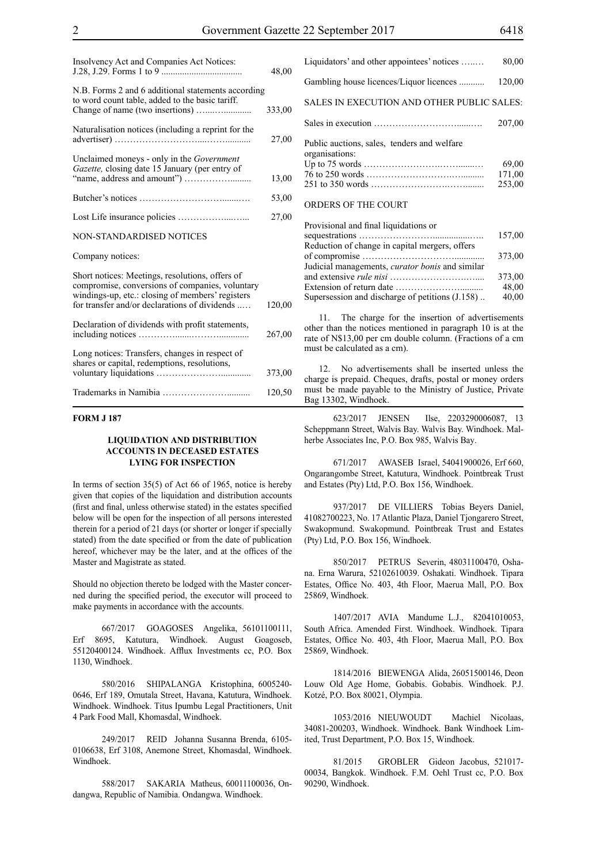| Insolvency Act and Companies Act Notices:                                                                                                                                                               | 48,00  |
|---------------------------------------------------------------------------------------------------------------------------------------------------------------------------------------------------------|--------|
| N.B. Forms 2 and 6 additional statements according<br>to word count table, added to the basic tariff.                                                                                                   | 333,00 |
| Naturalisation notices (including a reprint for the                                                                                                                                                     | 27,00  |
| Unclaimed moneys - only in the <i>Government</i><br>Gazette, closing date 15 January (per entry of                                                                                                      | 13,00  |
|                                                                                                                                                                                                         | 53,00  |
|                                                                                                                                                                                                         | 27,00  |
| NON-STANDARDISED NOTICES                                                                                                                                                                                |        |
| Company notices:                                                                                                                                                                                        |        |
| Short notices: Meetings, resolutions, offers of<br>compromise, conversions of companies, voluntary<br>windings-up, etc.: closing of members' registers<br>for transfer and/or declarations of dividends | 120,00 |
| Declaration of dividends with profit statements,                                                                                                                                                        | 267,00 |
| Long notices: Transfers, changes in respect of<br>shares or capital, redemptions, resolutions,                                                                                                          | 373,00 |
|                                                                                                                                                                                                         | 120,50 |

# **FORM J 187**

# **LIQUIDATION AND DISTRIBUTION ACCOUNTS IN DECEASED ESTATES LYING FOR INSPECTION**

In terms of section 35(5) of Act 66 of 1965, notice is hereby given that copies of the liquidation and distribution accounts (first and final, unless otherwise stated) in the estates specified below will be open for the inspection of all persons interested therein for a period of 21 days (or shorter or longer if specially stated) from the date specified or from the date of publication hereof, whichever may be the later, and at the offices of the Master and Magistrate as stated.

Should no objection thereto be lodged with the Master concerned during the specified period, the executor will proceed to make payments in accordance with the accounts.

667/2017 GOAGOSES Angelika, 56101100111, Erf 8695, Katutura, Windhoek. August Goagoseb, 55120400124. Windhoek. Afflux Investments cc, P.O. Box 1130, Windhoek.

580/2016 SHIPALANGA Kristophina, 6005240- 0646, Erf 189, Omutala Street, Havana, Katutura, Windhoek. Windhoek. Windhoek. Titus Ipumbu Legal Practitioners, Unit 4 Park Food Mall, Khomasdal, Windhoek.

249/2017 REID Johanna Susanna Brenda, 6105- 0106638, Erf 3108, Anemone Street, Khomasdal, Windhoek. Windhoek.

588/2017 SAKARIA Matheus, 60011100036, Ondangwa, Republic of Namibia. Ondangwa. Windhoek.

| Liquidators' and other appointees' notices                    | 80,00                     |
|---------------------------------------------------------------|---------------------------|
| Gambling house licences/Liquor licences                       | 120,00                    |
| SALES IN EXECUTION AND OTHER PUBLIC SALES:                    |                           |
|                                                               | 207,00                    |
| Public auctions, sales, tenders and welfare<br>organisations: | 69,00<br>171,00<br>253,00 |
| ORDERS OF THE COURT                                           |                           |

| Provisional and final liquidations or                  |        |
|--------------------------------------------------------|--------|
|                                                        | 157,00 |
| Reduction of change in capital mergers, offers         |        |
|                                                        | 373,00 |
| Judicial managements, <i>curator bonis</i> and similar |        |
|                                                        | 373,00 |
|                                                        | 48,00  |
| Supersession and discharge of petitions (J.158)        | 40,00  |
|                                                        |        |

11. The charge for the insertion of advertisements other than the notices mentioned in paragraph 10 is at the rate of N\$13,00 per cm double column. (Fractions of a cm must be calculated as a cm).

12. No advertisements shall be inserted unless the charge is prepaid. Cheques, drafts, postal or money orders must be made payable to the Ministry of Justice, Private Bag 13302, Windhoek.

623/2017 JENSEN Ilse, 2203290006087, 13 Scheppmann Street, Walvis Bay. Walvis Bay. Windhoek. Malherbe Associates Inc, P.O. Box 985, Walvis Bay.

671/2017 AWASEB Israel, 54041900026, Erf 660, Ongarangombe Street, Katutura, Windhoek. Pointbreak Trust and Estates (Pty) Ltd, P.O. Box 156, Windhoek.

937/2017 DE VILLIERS Tobias Beyers Daniel, 41082700223, No. 17 Atlantic Plaza, Daniel Tjongarero Street, Swakopmund. Swakopmund. Pointbreak Trust and Estates (Pty) Ltd, P.O. Box 156, Windhoek.

850/2017 PETRUS Severin, 48031100470, Oshana. Erna Warura, 52102610039. Oshakati. Windhoek. Tipara Estates, Office No. 403, 4th Floor, Maerua Mall, P.O. Box 25869, Windhoek.

1407/2017 AVIA Mandume L.J., 82041010053, South Africa. Amended First. Windhoek. Windhoek. Tipara Estates, Office No. 403, 4th Floor, Maerua Mall, P.O. Box 25869, Windhoek.

1814/2016 BIEWENGA Alida, 26051500146, Deon Louw Old Age Home, Gobabis. Gobabis. Windhoek. P.J. Kotzé, P.O. Box 80021, Olympia.

1053/2016 NIEUWOUDT Machiel Nicolaas, 34081-200203, Windhoek. Windhoek. Bank Windhoek Limited, Trust Department, P.O. Box 15, Windhoek.

81/2015 GROBLER Gideon Jacobus, 521017- 00034, Bangkok. Windhoek. F.M. Oehl Trust cc, P.O. Box 90290, Windhoek.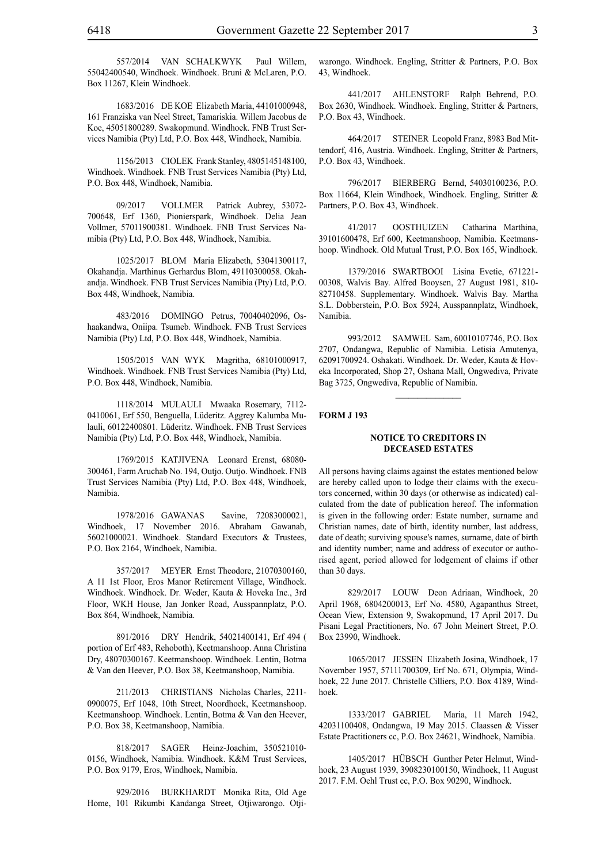557/2014 VAN SCHALKWYK Paul Willem, 55042400540, Windhoek. Windhoek. Bruni & McLaren, P.O. Box 11267, Klein Windhoek.

1683/2016 DE KOE Elizabeth Maria, 44101000948, 161 Franziska van Neel Street, Tamariskia. Willem Jacobus de Koe, 45051800289. Swakopmund. Windhoek. FNB Trust Services Namibia (Pty) Ltd, P.O. Box 448, Windhoek, Namibia.

1156/2013 CIOLEK Frank Stanley, 4805145148100, Windhoek. Windhoek. FNB Trust Services Namibia (Pty) Ltd, P.O. Box 448, Windhoek, Namibia.

09/2017 VOLLMER Patrick Aubrey, 53072- 700648, Erf 1360, Pionierspark, Windhoek. Delia Jean Vollmer, 57011900381. Windhoek. FNB Trust Services Namibia (Pty) Ltd, P.O. Box 448, Windhoek, Namibia.

1025/2017 BLOM Maria Elizabeth, 53041300117, Okahandja. Marthinus Gerhardus Blom, 49110300058. Okahandja. Windhoek. FNB Trust Services Namibia (Pty) Ltd, P.O. Box 448, Windhoek, Namibia.

483/2016 DOMINGO Petrus, 70040402096, Oshaakandwa, Oniipa. Tsumeb. Windhoek. FNB Trust Services Namibia (Pty) Ltd, P.O. Box 448, Windhoek, Namibia.

1505/2015 VAN WYK Magritha, 68101000917, Windhoek. Windhoek. FNB Trust Services Namibia (Pty) Ltd, P.O. Box 448, Windhoek, Namibia.

1118/2014 MULAULI Mwaaka Rosemary, 7112- 0410061, Erf 550, Benguella, Lüderitz. Aggrey Kalumba Mulauli, 60122400801. Lüderitz. Windhoek. FNB Trust Services Namibia (Pty) Ltd, P.O. Box 448, Windhoek, Namibia.

1769/2015 KATJIVENA Leonard Erenst, 68080- 300461, Farm Aruchab No. 194, Outjo. Outjo. Windhoek. FNB Trust Services Namibia (Pty) Ltd, P.O. Box 448, Windhoek, Namibia.

1978/2016 GAWANAS Savine, 72083000021, Windhoek, 17 November 2016. Abraham Gawanab, 56021000021. Windhoek. Standard Executors & Trustees, P.O. Box 2164, Windhoek, Namibia.

357/2017 MEYER Ernst Theodore, 21070300160, A 11 1st Floor, Eros Manor Retirement Village, Windhoek. Windhoek. Windhoek. Dr. Weder, Kauta & Hoveka Inc., 3rd Floor, WKH House, Jan Jonker Road, Ausspannplatz, P.O. Box 864, Windhoek, Namibia.

891/2016 DRY Hendrik, 54021400141, Erf 494 ( portion of Erf 483, Rehoboth), Keetmanshoop. Anna Christina Dry, 48070300167. Keetmanshoop. Windhoek. Lentin, Botma & Van den Heever, P.O. Box 38, Keetmanshoop, Namibia.

211/2013 CHRISTIANS Nicholas Charles, 2211- 0900075, Erf 1048, 10th Street, Noordhoek, Keetmanshoop. Keetmanshoop. Windhoek. Lentin, Botma & Van den Heever, P.O. Box 38, Keetmanshoop, Namibia.

818/2017 SAGER Heinz-Joachim, 350521010- 0156, Windhoek, Namibia. Windhoek. K&M Trust Services, p.o. Box 9179, Eros, Windhoek, Namibia.

929/2016 BURKHARDT Monika Rita, Old Age Home, 101 Rikumbi Kandanga Street, Otjiwarongo. Otjiwarongo. Windhoek. Engling, Stritter & Partners, P.O. Box 43, Windhoek.

441/2017 AHLENSTORF Ralph Behrend, P.O. Box 2630, Windhoek. Windhoek. Engling, Stritter & Partners, P.O. Box 43, Windhoek.

464/2017 STEINER Leopold Franz, 8983 Bad Mittendorf, 416, Austria. Windhoek. Engling, Stritter & Partners, P.O. Box 43, Windhoek.

796/2017 BIERBERG Bernd, 54030100236, P.O. Box 11664, Klein Windhoek, Windhoek. Engling, Stritter & Partners, P.O. Box 43, Windhoek.

41/2017 OOSTHUIZEN Catharina Marthina, 39101600478, Erf 600, Keetmanshoop, Namibia. Keetmanshoop. Windhoek. Old Mutual Trust, P.O. Box 165, Windhoek.

1379/2016 SWARTBOOI Lisina Evetie, 671221- 00308, Walvis Bay. Alfred Booysen, 27 August 1981, 810- 82710458. Supplementary. Windhoek. Walvis Bay. Martha S.L. Dobberstein, P.O. Box 5924, Ausspannplatz, Windhoek, Namibia.

993/2012 SAMWEL Sam, 60010107746, P.O. Box 2707, Ondangwa, Republic of Namibia. Letisia Amutenya, 62091700924. Oshakati. Windhoek. Dr. Weder, Kauta & Hoveka Incorporated, Shop 27, Oshana Mall, Ongwediva, Private Bag 3725, Ongwediva, Republic of Namibia.

 $\frac{1}{2}$ 

# **FORM J 193**

# **NOTICE TO CREDITORS IN DECEASED ESTATES**

All persons having claims against the estates mentioned below are hereby called upon to lodge their claims with the executors concerned, within 30 days (or otherwise as indicated) calculated from the date of publication hereof. The information is given in the following order: Estate number, surname and Christian names, date of birth, identity number, last address, date of death; surviving spouse's names, surname, date of birth and identity number; name and address of executor or authorised agent, period allowed for lodgement of claims if other than 30 days.

829/2017 LOUW Deon Adriaan, Windhoek, 20 April 1968, 6804200013, Erf No. 4580, Agapanthus Street, Ocean View, Extension 9, Swakopmund, 17 April 2017. Du Pisani Legal Practitioners, No. 67 John Meinert Street, P.O. Box 23990, Windhoek.

1065/2017 JESSEN Elizabeth Josina, Windhoek, 17 November 1957, 57111700309, Erf No. 671, Olympia, Windhoek, 22 June 2017. Christelle Cilliers, P.O. Box 4189, Windhoek.

1333/2017 GABRIEL Maria, 11 March 1942, 42031100408, Ondangwa, 19 May 2015. Claassen & Visser Estate Practitioners cc, P.O. Box 24621, Windhoek, Namibia.

1405/2017 HÜBSCH Gunther Peter Helmut, Windhoek, 23 August 1939, 3908230100150, Windhoek, 11 August 2017. F.M. Oehl Trust cc, P.O. Box 90290, Windhoek.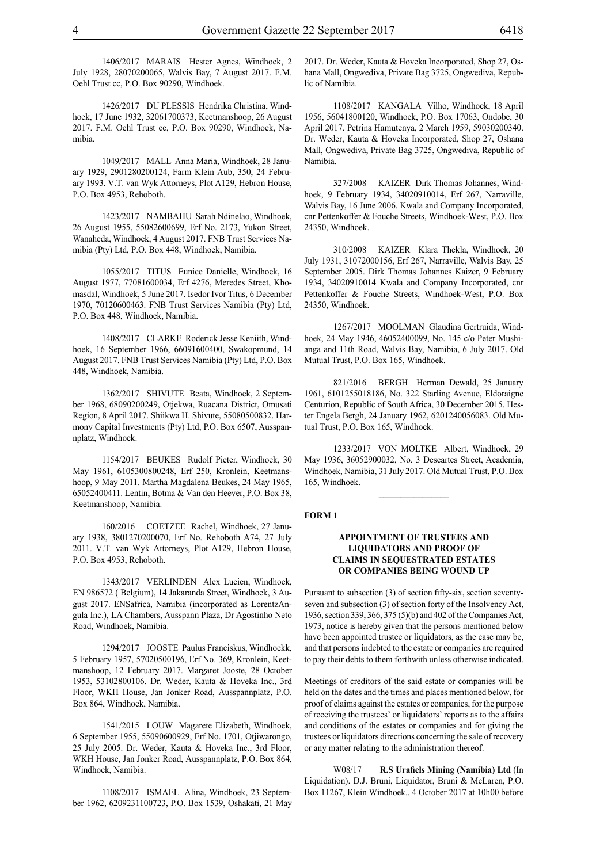1406/2017 MARAIS Hester Agnes, Windhoek, 2 July 1928, 28070200065, Walvis Bay, 7 August 2017. F.M. Oehl Trust cc, P.O. Box 90290, Windhoek.

1426/2017 DU PLESSIS Hendrika Christina, Windhoek, 17 June 1932, 32061700373, Keetmanshoop, 26 August 2017. F.M. Oehl Trust cc, P.O. Box 90290, Windhoek, Namibia.

1049/2017 MALL Anna Maria, Windhoek, 28 January 1929, 2901280200124, Farm Klein Aub, 350, 24 February 1993. V.T. van Wyk Attorneys, Plot A129, Hebron House, P.O. Box 4953, Rehoboth.

1423/2017 NAMBAHU Sarah Ndinelao, Windhoek, 26 August 1955, 55082600699, Erf No. 2173, Yukon Street, Wanaheda, Windhoek, 4 August 2017. FNB Trust Services Namibia (Pty) Ltd, P.O. Box 448, Windhoek, Namibia.

1055/2017 TITUS Eunice Danielle, Windhoek, 16 August 1977, 77081600034, Erf 4276, Meredes Street, Khomasdal, Windhoek, 5 June 2017. Isedor Ivor Titus, 6 December 1970, 70120600463. FNB Trust Services Namibia (Pty) Ltd, P.O. Box 448, Windhoek, Namibia.

1408/2017 CLARKE Roderick Jesse Keniith, Windhoek, 16 September 1966, 66091600400, Swakopmund, 14 August 2017. FNB Trust Services Namibia (Pty) Ltd, P.O. Box 448, Windhoek, Namibia.

1362/2017 SHIVUTE Beata, Windhoek, 2 September 1968, 68090200249, Otjekwa, Ruacana District, Omusati Region, 8 April 2017. Shiikwa H. Shivute, 55080500832. Harmony Capital Investments (Pty) Ltd, P.O. Box 6507, Ausspannplatz, Windhoek.

1154/2017 BEUKES Rudolf Pieter, Windhoek, 30 May 1961, 6105300800248, Erf 250, Kronlein, Keetmanshoop, 9 May 2011. Martha Magdalena Beukes, 24 May 1965, 65052400411. Lentin, Botma & Van den Heever, P.O. Box 38, Keetmanshoop, Namibia.

160/2016 COETZEE Rachel, Windhoek, 27 January 1938, 3801270200070, Erf No. Rehoboth A74, 27 July 2011. V.T. van Wyk Attorneys, Plot A129, Hebron House, P.O. Box 4953, Rehoboth.

1343/2017 VERLINDEN Alex Lucien, Windhoek, EN 986572 ( Belgium), 14 Jakaranda Street, Windhoek, 3 August 2017. ENSafrica, Namibia (incorporated as LorentzAngula Inc.), LA Chambers, Ausspann Plaza, Dr Agostinho Neto Road, Windhoek, Namibia.

1294/2017 JOOSTE Paulus Franciskus, Windhoekk, 5 February 1957, 57020500196, Erf No. 369, Kronlein, Keetmanshoop, 12 February 2017. Margaret Jooste, 28 October 1953, 53102800106. Dr. Weder, Kauta & Hoveka Inc., 3rd Floor, WKH House, Jan Jonker Road, Ausspannplatz, P.O. Box 864, Windhoek, Namibia.

1541/2015 LOUW Magarete Elizabeth, Windhoek, 6 September 1955, 55090600929, Erf No. 1701, Otjiwarongo, 25 July 2005. Dr. Weder, Kauta & Hoveka Inc., 3rd Floor, WKH House, Jan Jonker Road, Ausspannplatz, P.O. Box 864, Windhoek, Namibia.

1108/2017 ISMAEL Alina, Windhoek, 23 September 1962, 6209231100723, P.O. Box 1539, Oshakati, 21 May 2017. Dr. Weder, Kauta & Hoveka Incorporated, Shop 27, Oshana Mall, Ongwediva, Private Bag 3725, Ongwediva, Republic of Namibia.

1108/2017 KANGALA Vilho, Windhoek, 18 April 1956, 56041800120, Windhoek, P.O. Box 17063, Ondobe, 30 April 2017. Petrina Hamutenya, 2 March 1959, 59030200340. Dr. Weder, Kauta & Hoveka Incorporated, Shop 27, Oshana Mall, Ongwediva, Private Bag 3725, Ongwediva, Republic of Namibia.

327/2008 KAIZER Dirk Thomas Johannes, Windhoek, 9 February 1934, 34020910014, Erf 267, Narraville, Walvis Bay, 16 June 2006. Kwala and Company Incorporated, cnr Pettenkoffer & Fouche Streets, Windhoek-West, P.O. Box 24350, Windhoek.

310/2008 KAIZER Klara Thekla, Windhoek, 20 July 1931, 31072000156, Erf 267, Narraville, Walvis Bay, 25 September 2005. Dirk Thomas Johannes Kaizer, 9 February 1934, 34020910014 Kwala and Company Incorporated, cnr Pettenkoffer & Fouche Streets, Windhoek-West, P.O. Box 24350, Windhoek.

1267/2017 MOOLMAN Glaudina Gertruida, Windhoek, 24 May 1946, 46052400099, No. 145 c/o Peter Mushianga and 11th Road, Walvis Bay, Namibia, 6 July 2017. Old Mutual Trust, P.O. Box 165, Windhoek.

821/2016 BERGH Herman Dewald, 25 January 1961, 6101255018186, No. 322 Starling Avenue, Eldoraigne Centurion, Republic of South Africa, 30 December 2015. Hester Engela Bergh, 24 January 1962, 6201240056083. Old Mutual Trust, P.O. Box 165, Windhoek.

1233/2017 VON MOLTKE Albert, Windhoek, 29 May 1936, 36052900032, No. 3 Descartes Street, Academia, Windhoek, Namibia, 31 July 2017. Old Mutual Trust, P.O. Box 165, Windhoek.

 $\frac{1}{2}$ 

#### **FORM 1**

# **APPOINTMENT OF TRUSTEES AND LIQUIDATORS AND PROOF OF CLAIMS IN SEQUESTRATED ESTATES OR COMPANIES BEING WOUND UP**

Pursuant to subsection (3) of section fifty-six, section seventyseven and subsection (3) of section forty of the Insolvency Act, 1936, section 339, 366, 375 (5)(b) and 402 of the Companies Act, 1973, notice is hereby given that the persons mentioned below have been appointed trustee or liquidators, as the case may be, and that persons indebted to the estate or companies are required to pay their debts to them forthwith unless otherwise indicated.

Meetings of creditors of the said estate or companies will be held on the dates and the times and places mentioned below, for proof of claims against the estates or companies, for the purpose of receiving the trustees' or liquidators' reports as to the affairs and conditions of the estates or companies and for giving the trustees or liquidators directions concerning the sale of recovery or any matter relating to the administration thereof.

W08/17 **R.S Urafiels Mining (Namibia) Ltd** (In Liquidation). D.J. Bruni, Liquidator, Bruni & McLaren, P.O. Box 11267, Klein Windhoek.. 4 October 2017 at 10h00 before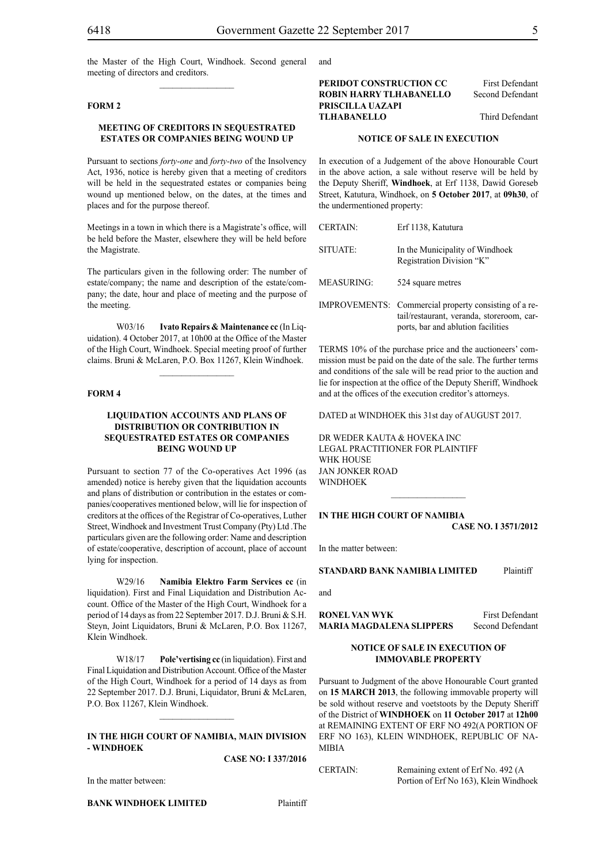the Master of the High Court, Windhoek. Second general meeting of directors and creditors.  $\frac{1}{2}$ 

### **FORM 2**

# **MEETING OF CREDITORS IN SEQUESTRATED ESTATES OR COMPANIES BEING WOUND UP**

Pursuant to sections *forty-one* and *forty-two* of the Insolvency Act, 1936, notice is hereby given that a meeting of creditors will be held in the sequestrated estates or companies being wound up mentioned below, on the dates, at the times and places and for the purpose thereof.

Meetings in a town in which there is a Magistrate's office, will be held before the Master, elsewhere they will be held before the Magistrate.

The particulars given in the following order: The number of estate/company; the name and description of the estate/company; the date, hour and place of meeting and the purpose of the meeting.

W03/16 **Ivato Repairs & Maintenance cc** (In Liquidation). 4 October 2017, at 10h00 at the Office of the Master of the High Court, Windhoek. Special meeting proof of further claims. Bruni & McLaren, P.O. Box 11267, Klein Windhoek.

 $\frac{1}{2}$ 

#### **FORM 4**

# **LIQUIDATION ACCOUNTS AND PLANS OF DISTRIBUTION OR CONTRIBUTION IN SEQUESTRATED ESTATES OR COMPANIES BEING WOUND UP**

Pursuant to section 77 of the Co-operatives Act 1996 (as amended) notice is hereby given that the liquidation accounts and plans of distribution or contribution in the estates or companies/cooperatives mentioned below, will lie for inspection of creditors at the offices of the Registrar of Co-operatives, Luther Street, Windhoek and Investment Trust Company (Pty) Ltd .The particulars given are the following order: Name and description of estate/cooperative, description of account, place of account lying for inspection.

W29/16 **Namibia Elektro Farm Services cc** (in liquidation). First and Final Liquidation and Distribution Account. Office of the Master of the High Court, Windhoek for a period of 14 days as from 22 September 2017. D.J. Bruni & S.H. Steyn, Joint Liquidators, Bruni & McLaren, P.O. Box 11267, Klein Windhoek.

W18/17 **Pole'vertising cc** (in liquidation). First and Final Liquidation and Distribution Account. Office of the Master of the High Court, Windhoek for a period of 14 days as from 22 September 2017. D.J. Bruni, Liquidator, Bruni & McLaren, P.O. Box 11267, Klein Windhoek.

# **IN THE HIGH COURT OF NAMIBIA, MAIN DIVISION - WINDHOEK**

 $\frac{1}{2}$ 

**CASE NO: I 337/2016**

In the matter between:

**BANK WINDHOEK LIMITED** Plaintiff

and

**PERIDOT CONSTRUCTION CC** First Defendant **ROBIN HARRY TLHABANELLO** Second Defendant **PRISCILLA UAZAPI TLHABANELLO** Third Defendant

# **NOTICE OF SALE IN EXECUTION**

In execution of a Judgement of the above Honourable Court in the above action, a sale without reserve will be held by the Deputy Sheriff, **Windhoek**, at Erf 1138, Dawid Goreseb Street, Katutura, Windhoek, on **5 October 2017**, at **09h30**, of the undermentioned property:

| <b>CERTAIN:</b>   | Erf 1138, Katutura                                                                                                                       |
|-------------------|------------------------------------------------------------------------------------------------------------------------------------------|
| SITUATE:          | In the Municipality of Windhoek<br>Registration Division "K"                                                                             |
| <b>MEASURING:</b> | 524 square metres                                                                                                                        |
|                   | IMPROVEMENTS: Commercial property consisting of a re-<br>tail/restaurant, veranda, storeroom, car-<br>ports, bar and ablution facilities |

TERMS 10% of the purchase price and the auctioneers' commission must be paid on the date of the sale. The further terms and conditions of the sale will be read prior to the auction and lie for inspection at the office of the Deputy Sheriff, Windhoek and at the offices of the execution creditor's attorneys.

DATED at WINDHOEK this 31st day of AUGUST 2017.

DR WEDER KAUTA & HOVEKA INC Legal Practitioner for Plaintiff WHK HOUSE Jan Jonker Road **WINDHOEK** 

# **IN THE HIGH COURT OF NAMIBIA CASE No. I 3571/2012**

 $\frac{1}{2}$ 

In the matter between:

**STANDARD BANK NAMIBIA LIMITED** Plaintiff

and

**RONEL VAN WYK** First Defendant **MARIA MAGDALENA SLIPPERS** Second Defendant

# **NOTICE OF SALE IN EXECUTION OF IMMOVABLE PROPERTY**

Pursuant to Judgment of the above Honourable Court granted on **15 MARCH 2013**, the following immovable property will be sold without reserve and voetstoots by the Deputy Sheriff of the District of **WINDHOEK** on **11 October 2017** at **12h00** at REMAINING EXTENT OF ERF NO 492(A PORTION OF ERF NO 163), KLEIN WINDHOEK, REPUBLIC OF NA-MIBIA

CERTAIN: Remaining extent of Erf No. 492 (A Portion of Erf No 163), Klein Windhoek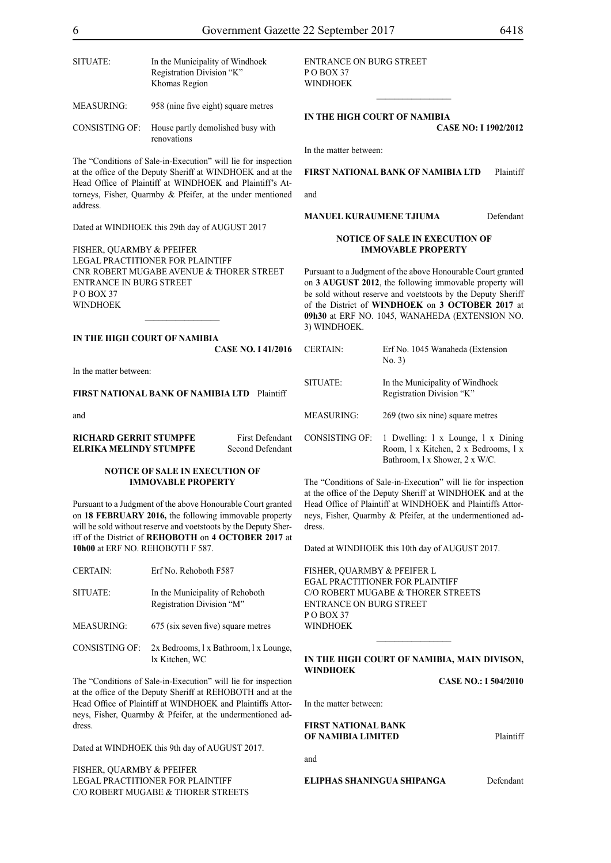| SITUATE:              | In the Municipality of Windhoek<br>Registration Division "K"<br>Khomas Region |
|-----------------------|-------------------------------------------------------------------------------|
| <b>MEASURING:</b>     | 958 (nine five eight) square metres                                           |
| <b>CONSISTING OF:</b> | House partly demolished busy with                                             |

renovations

The "Conditions of Sale-in-Execution" will lie for inspection at the office of the Deputy Sheriff at WINDHOEK and at the Head Office of Plaintiff at WINDHOEK and Plaintiff's Attorneys, Fisher, Quarmby & Pfeifer, at the under mentioned address.

Dated at WINDHOEK this 29th day of AUGUST 2017

FISHER, QUARMBY & PFEIFER LEGAL PRACTITIONER FOR Plaintiff Cnr Robert Mugabe Avenue & Thorer Street Entrance in Burg Street PO BOX 37 WINDHOEK

 $\frac{1}{2}$ 

# **IN THE HIGH COURT OF NAMIBIA**

**CASE No. I 41/2016**

In the matter between:

#### **FIRST NATIONAL BANK OF NAMIBIA LTD** Plaintiff

and

| <b>RICHARD GERRIT STUMPFE</b> | <b>First Defendant</b> |
|-------------------------------|------------------------|
| <b>ELRIKA MELINDY STUMPFE</b> | Second Defendant       |

#### **NOTICE OF SALE IN EXECUTION OF IMMOVABLE PROPERTY**

Pursuant to a Judgment of the above Honourable Court granted on **18 FEBRUARY 2016,** the following immovable property will be sold without reserve and voetstoots by the Deputy Sheriff of the District of **REHOBOTH** on **4 OCTOBER 2017** at **10h00** at ERF NO. REHOBOTH F 587.

| <b>CERTAIN:</b>   | Erf No. Rehoboth F587                                        |
|-------------------|--------------------------------------------------------------|
| SITUATE:          | In the Municipality of Rehoboth<br>Registration Division "M" |
| <b>MEASURING:</b> | 675 (six seven five) square metres                           |

CONSISTING OF: 2x Bedrooms, l x Bathroom, l x Lounge, lx Kitchen, WC

The "Conditions of Sale-in-Execution" will lie for inspection at the office of the Deputy Sheriff at REHOBOTH and at the Head Office of Plaintiff at WINDHOEK and Plaintiffs Attorneys, Fisher, Quarmby & Pfeifer, at the undermentioned address.

Dated at WINDHOEK this 9th day of AUGUST 2017.

FISHER, QUARMBY & PFEIFER LEGAL PRACTITIONER FOR Plaintiff c/o Robert Mugabe & Thorer Streets entrance on Burg Street PO BOX 37 WINDHOEK

#### **IN THE HIGH COURT OF NAMIBIA CASE NO: I 1902/2012**

In the matter between:

# **FIRST NATIONAL BANK OF NAMIBIA LTD** Plaintiff

 $\frac{1}{2}$  ,  $\frac{1}{2}$  ,  $\frac{1}{2}$  ,  $\frac{1}{2}$  ,  $\frac{1}{2}$  ,  $\frac{1}{2}$  ,  $\frac{1}{2}$ 

and

**MANUEL KURAUMENE TJIUMA** Defendant

# **NOTICE OF SALE IN EXECUTION OF IMMOVABLE PROPERTY**

Pursuant to a Judgment of the above Honourable Court granted on **3 AUGUST 2012**, the following immovable property will be sold without reserve and voetstoots by the Deputy Sheriff of the District of **WINDHOEK** on **3 OCTOBER 2017** at **09h30** at ERF NO. 1045, WANAHEDA (EXTENSION NO. 3) WINDHOEK.

| <b>CERTAIN:</b>   | Erf No. 1045 Wanaheda (Extension<br>No. 3)                                                                   |
|-------------------|--------------------------------------------------------------------------------------------------------------|
| SITUATE:          | In the Municipality of Windhoek<br>Registration Division "K"                                                 |
| <b>MEASURING:</b> | 269 (two six nine) square metres                                                                             |
| CONSISTING OF:    | 1 Dwelling: 1 x Lounge, 1 x Dining<br>Room, 1 x Kitchen, 2 x Bedrooms, 1 x<br>Bathroom, 1 x Shower, 2 x W/C. |

The "Conditions of Sale-in-Execution" will lie for inspection at the office of the Deputy Sheriff at WINDHOEK and at the Head Office of Plaintiff at WINDHOEK and Plaintiffs Attorneys, Fisher, Quarmby & Pfeifer, at the undermentioned address.

Dated at WINDHOEK this 10th day of AUGUST 2017.

FISHER, QUARMBY & PFEIFER L EGAL PRACTITIONER FOR Plaintiff c/o Robert Mugabe & Thorer Streets entrance on Burg Street  $P$  O BOX 37 WINDHOEK

# **IN THE HIGH COURT OF NAMIBIA, MAIN DIVISON, WINDHOEK**

 $\frac{1}{2}$ 

**CASE NO.: I 504/2010**

In the matter between:

# **FIRST NATIONAL BANK OF NAMIBIA LIMITED** Plaintiff

and

**ELIPHAS SHANINGUA SHIPANGA** Defendant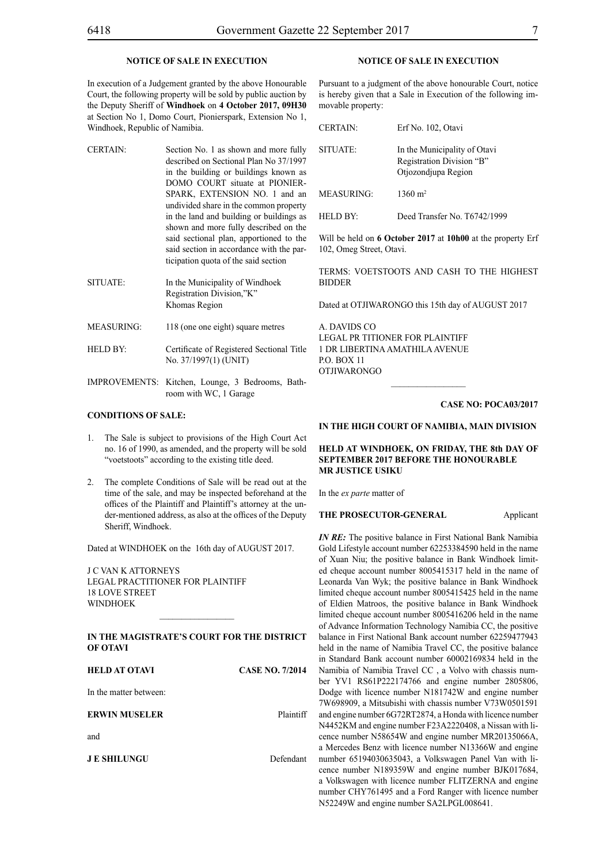# **NOTICE OF SALE IN EXECUTION**

In execution of a Judgement granted by the above Honourable Court, the following property will be sold by public auction by the Deputy Sheriff of **Windhoek** on **4 October 2017, 09H30**  at Section No 1, Domo Court, Pionierspark, Extension No 1, Windhoek, Republic of Namibia.

- CERTAIN: Section No. 1 as shown and more fully described on Sectional Plan No 37/1997 in the building or buildings known as DOMO COURT situate at PIONIER-SPARK, EXTENSION NO. 1 and an undivided share in the common property in the land and building or buildings as shown and more fully described on the said sectional plan, apportioned to the said section in accordance with the participation quota of the said section
- SITUATE: In the Municipality of Windhoek Registration Division,"K" Khomas Region
- MEASURING: 118 (one one eight) square metres
- HELD BY: Certificate of Registered Sectional Title No. 37/1997(1) (UNIT)
- IMPROVEMENTS: Kitchen, Lounge, 3 Bedrooms, Bathroom with WC, 1 Garage

# **CONDITIONS OF SALE:**

- 1. The Sale is subject to provisions of the High Court Act no. 16 of 1990, as amended, and the property will be sold "voetstoots" according to the existing title deed.
- 2. The complete Conditions of Sale will be read out at the time of the sale, and may be inspected beforehand at the offices of the Plaintiff and Plaintiff's attorney at the under-mentioned address, as also at the offices of the Deputy Sheriff, Windhoek.

Dated at WINDHOEK on the 16th day of AUGUST 2017.

J C VAN K ATTORNEYS Legal Practitioner for Plaintiff 18 LOVE STREET WINDHOEK

# **IN THE MAGISTRATE'S COURT FOR THE DISTRICT OF OTAVI**

 $\frac{1}{2}$ 

| <b>HELD AT OTAVI</b>   | <b>CASE NO. 7/2014</b> |
|------------------------|------------------------|
| In the matter between: |                        |
| <b>ERWIN MUSELER</b>   | Plaintiff              |
| and                    |                        |
| <b>JE SHILUNGU</b>     | Defendant              |
|                        |                        |

# **NOTICE OF SALE IN EXECUTION**

Pursuant to a judgment of the above honourable Court, notice is hereby given that a Sale in Execution of the following immovable property:

| <b>CERTAIN:</b>   | Erf No. 102, Otavi                                                               |
|-------------------|----------------------------------------------------------------------------------|
| SITUATE:          | In the Municipality of Otavi<br>Registration Division "B"<br>Otjozondjupa Region |
| <b>MEASURING:</b> | $1360 \text{ m}^2$                                                               |
| -HELD BY:         | Deed Transfer No. T6742/1999                                                     |

Will be held on **6 October 2017** at **10h00** at the property Erf 102, Omeg Street, Otavi.

TERMS: VOETSTOOTS AND CASH TO THE HIGHEST BIDDER

Dated at OTJIWARONGO this 15th day of AUGUST 2017

A. DAVIDS CO LEGAL PR TITIONER FOR Plaintiff 1 DR LIBERTINA AMATHILA AVENUE P.O. BOX 11 OTJIWARONGO

#### **CASE NO: POCA03/2017**

# **IN THE HIGH COURT OF NAMIBIA, MAIN DIVISION**

# **HELD AT WINDHOEK, ON FRIDAY, THE 8th DAY OF SEPTEMBER 2017 BEFORE THE HONOURABLE MR JUSTICE USIKU**

In the *ex parte* matter of

#### **THE PROSECUTOR-GENERAL Applicant**

*IN RE:* The positive balance in First National Bank Namibia Gold Lifestyle account number 62253384590 held in the name of Xuan Niu; the positive balance in Bank Windhoek limited cheque account number 8005415317 held in the name of Leonarda Van Wyk; the positive balance in Bank Windhoek limited cheque account number 8005415425 held in the name of Eldien Matroos, the positive balance in Bank Windhoek limited cheque account number 8005416206 held in the name of Advance Information Technology Namibia CC, the positive balance in First National Bank account number 62259477943 held in the name of Namibia Travel CC, the positive balance in Standard Bank account number 60002169834 held in the Namibia of Namibia Travel CC , a Volvo with chassis number YV1 RS61P222174766 and engine number 2805806, Dodge with licence number N181742W and engine number 7W698909, a Mitsubishi with chassis number V73W0501591 and engine number 6G72RT2874, a Honda with licence number N4452KM and engine number F23A2220408, a Nissan with licence number N58654W and engine number MR20135066A, a Mercedes Benz with licence number N13366W and engine number 65194030635043, a Volkswagen Panel Van with licence number N189359W and engine number BJK017684, a Volkswagen with licence number FLITZERNA and engine number CHY761495 and a Ford Ranger with licence number N52249W and engine number SA2LPGL008641.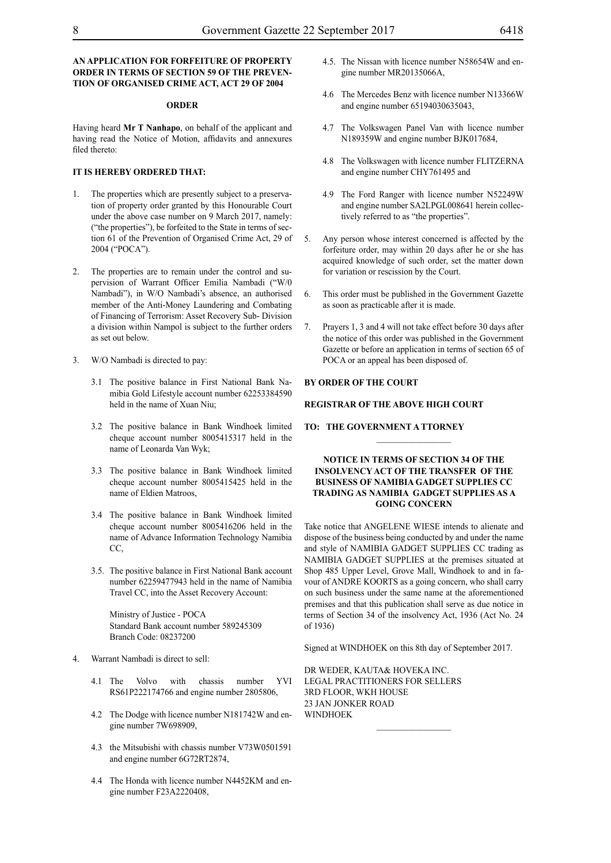# **AN APPLICATION FOR FORFEITURE OF PROPERTY ORDER IN TERMS OF SECTION 59 OF THE PREVEN-TION OF ORGANISED CRIME ACT, ACT 29 OF 2004**

#### **ORDER**

Having heard **Mr T Nanhapo**, on behalf of the applicant and having read the Notice of Motion, affidavits and annexures filed thereto:

# **IT IS HEREBY ORDERED THAT:**

- The properties which are presently subject to a preservation of property order granted by this Honourable Court under the above case number on 9 March 2017, namely: ("the properties"), be forfeited to the State in terms of section 61 of the Prevention of Organised Crime Act, 29 of 2004 ("POCA").
- 2. The properties are to remain under the control and supervision of Warrant Officer Emilia Nambadi ("W/0 Nambadi"), in W/O Nambadi's absence, an authorised member of the Anti-Money Laundering and Combating of Financing of Terrorism: Asset Recovery Sub- Division a division within Nampol is subject to the further orders as set out below.
- 3. W/O Nambadi is directed to pay:
	- 3.1 The positive balance in First National Bank Namibia Gold Lifestyle account number 62253384590 held in the name of Xuan Niu;
	- 3.2 The positive balance in Bank Windhoek limited cheque account number 8005415317 held in the name of Leonarda Van Wyk;
	- 3.3 The positive balance in Bank Windhoek limited cheque account number 8005415425 held in the name of Eldien Matroos,
	- 3.4 The positive balance in Bank Windhoek limited cheque account number 8005416206 held in the name of Advance Information Technology Namibia CC,
	- 3.5. The positive balance in First National Bank account number 62259477943 held in the name of Namibia Travel CC, into the Asset Recovery Account:

Ministry of Justice *-* POCA Standard Bank account number 589245309 Branch Code: 08237200

- Warrant Nambadi is direct to sell:
	- 4.1 The Volvo with chassis number YVI RS61P222174766 and engine number 2805806,
	- 4.2 The Dodge with licence number N181742W and engine number 7W698909,
	- 4.3 the Mitsubishi with chassis number V73W0501591 and engine number 6G72RT2874,
	- 4.4 The Honda with licence number N4452KM and engine number F23A2220408,
- 4.5. The Nissan with licence number N58654W and engine number MR20135066A,
- 4.6 The Mercedes Benz with licence number N13366W and engine number 65194030635043,
- 4.7 The Volkswagen Panel Van with licence number N189359W and engine number BJK017684,
- 4.8 The Volkswagen with licence number FLITZERNA and engine number CHY761495 and
- 4.9 The Ford Ranger with licence number N52249W and engine number SA2LPGL008641 herein collectively referred to as "the properties".
- 5. Any person whose interest concerned is affected by the forfeiture order, may within 20 days after he or she has acquired knowledge of such order, set the matter down for variation or rescission by the Court.
- 6. This order must be published in the Government Gazette as soon as practicable after it is made.
- Prayers 1, 3 and 4 will not take effect before 30 days after the notice of this order was published in the Government Gazette or before an application in terms of section 65 of POCA or an appeal has been disposed of.

# **BY ORDER OF THE COURT**

#### **REGISTRAR OF THE ABOVE HIGH COURT**

### **TO: THE GOVERNMENT A TTORNEY**

# **NOTICE IN TERMS OF SECTION 34 OF THE INSOLVENCY ACT OF THE TRANSFER OF THE BUSINESS OF NAMIBIA GADGET SUPPLIES CC trading as NAMIBIA GADGET SUPPLIES AS A GOING CONCERN**

Take notice that ANGELENE WIESE intends to alienate and dispose of the business being conducted by and under the name and style of NAMIBIA GADGET SUPPLIES CC trading as NAMIBIA GADGET SUPPLIES at the premises situated at Shop 485 Upper Level, Grove Mall, Windhoek to and in favour of ANDRE KOORTS as a going concern, who shall carry on such business under the same name at the aforementioned premises and that this publication shall serve as due notice in terms of Section 34 of the insolvency Act, 1936 (Act No. 24 of 1936)

Signed at WINDHOEK on this 8th day of September 2017.

 $\frac{1}{2}$ 

DR WEDER, KAUTA& HOVEKA INC. LEGAL PRACTITIONERS FOR SELLERS 3rd FLOOR, WKH HOUSE 23 JAN JONKER ROAD WINDHOEK